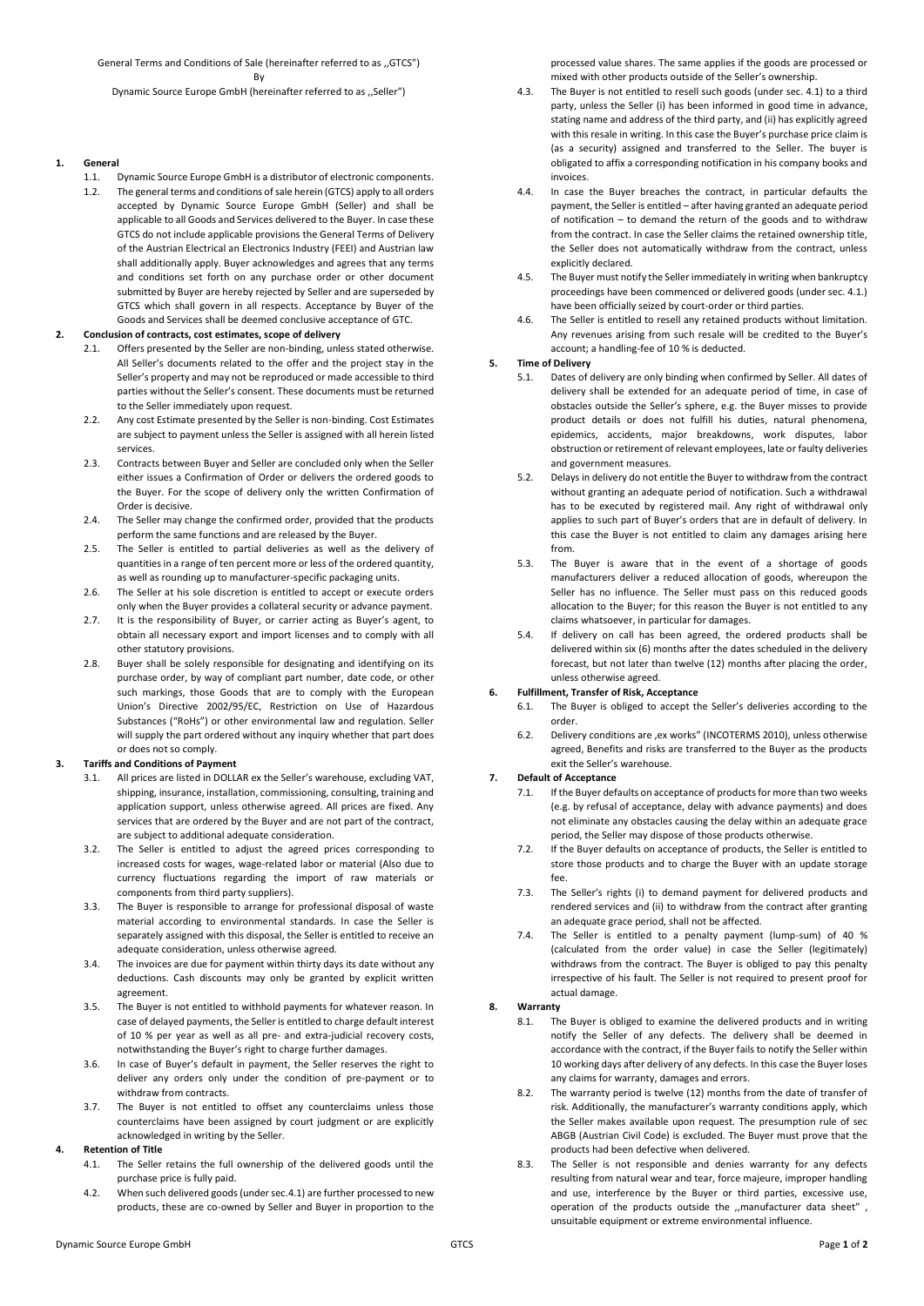General Terms and Conditions of Sale (hereinafter referred to as ,,GTCS") **By** Dynamic Source Europe GmbH (hereinafter referred to as ,,Seller")

# **1. General**

1.1. Dynamic Source Europe GmbH is a distributor of electronic components. 1.2. The general terms and conditions of sale herein (GTCS) apply to all orders accepted by Dynamic Source Europe GmbH (Seller) and shall be applicable to all Goods and Services delivered to the Buyer. In case these GTCS do not include applicable provisions the General Terms of Delivery of the Austrian Electrical an Electronics Industry (FEEI) and Austrian law shall additionally apply. Buyer acknowledges and agrees that any terms and conditions set forth on any purchase order or other document submitted by Buyer are hereby rejected by Seller and are superseded by GTCS which shall govern in all respects. Acceptance by Buyer of the Goods and Services shall be deemed conclusive acceptance of GTC.

# **2. Conclusion of contracts, cost estimates, scope of delivery**

- 2.1. Offers presented by the Seller are non-binding, unless stated otherwise. All Seller's documents related to the offer and the project stay in the Seller's property and may not be reproduced or made accessible to third parties without the Seller's consent. These documents must be returned to the Seller immediately upon request.
- 2.2. Any cost Estimate presented by the Seller is non-binding. Cost Estimates are subject to payment unless the Seller is assigned with all herein listed services.
- 2.3. Contracts between Buyer and Seller are concluded only when the Seller either issues a Confirmation of Order or delivers the ordered goods to the Buyer. For the scope of delivery only the written Confirmation of Order is decisive.
- 2.4. The Seller may change the confirmed order, provided that the products perform the same functions and are released by the Buyer.
- 2.5. The Seller is entitled to partial deliveries as well as the delivery of quantities in a range of ten percent more or less of the ordered quantity, as well as rounding up to manufacturer-specific packaging units.
- 2.6. The Seller at his sole discretion is entitled to accept or execute orders only when the Buyer provides a collateral security or advance payment.
- 2.7. It is the responsibility of Buyer, or carrier acting as Buyer's agent, to obtain all necessary export and import licenses and to comply with all other statutory provisions.
- 2.8. Buyer shall be solely responsible for designating and identifying on its purchase order, by way of compliant part number, date code, or other such markings, those Goods that are to comply with the European Union's Directive 2002/95/EC, Restriction on Use of Hazardous Substances ("RoHs") or other environmental law and regulation. Seller will supply the part ordered without any inquiry whether that part does or does not so comply.

## **3. Tariffs and Conditions of Payment**

- 3.1. All prices are listed in DOLLAR ex the Seller's warehouse, excluding VAT, shipping, insurance, installation, commissioning, consulting, training and application support, unless otherwise agreed. All prices are fixed. Any services that are ordered by the Buyer and are not part of the contract, are subject to additional adequate consideration.
- 3.2. The Seller is entitled to adjust the agreed prices corresponding to increased costs for wages, wage-related labor or material (Also due to currency fluctuations regarding the import of raw materials or components from third party suppliers).
- 3.3. The Buyer is responsible to arrange for professional disposal of waste material according to environmental standards. In case the Seller is separately assigned with this disposal, the Seller is entitled to receive an adequate consideration, unless otherwise agreed.
- 3.4. The invoices are due for payment within thirty days its date without any deductions. Cash discounts may only be granted by explicit written agreement.
- 3.5. The Buyer is not entitled to withhold payments for whatever reason. In case of delayed payments, the Seller is entitled to charge default interest of 10 % per year as well as all pre- and extra-judicial recovery costs, notwithstanding the Buyer's right to charge further damages.
- 3.6. In case of Buyer's default in payment, the Seller reserves the right to deliver any orders only under the condition of pre-payment or to withdraw from contracts.
- 3.7. The Buyer is not entitled to offset any counterclaims unless those counterclaims have been assigned by court judgment or are explicitly acknowledged in writing by the Seller.

## **4. Retention of Title**

- 4.1. The Seller retains the full ownership of the delivered goods until the purchase price is fully paid.
- 4.2. When such delivered goods (under sec.4.1) are further processed to new products, these are co-owned by Seller and Buyer in proportion to the

processed value shares. The same applies if the goods are processed or mixed with other products outside of the Seller's ownership.

- 4.3. The Buyer is not entitled to resell such goods (under sec. 4.1) to a third party, unless the Seller (i) has been informed in good time in advance, stating name and address of the third party, and (ii) has explicitly agreed with this resale in writing. In this case the Buyer's purchase price claim is (as a security) assigned and transferred to the Seller. The buyer is obligated to affix a corresponding notification in his company books and invoices.
- 4.4. In case the Buyer breaches the contract, in particular defaults the payment, the Seller is entitled – after having granted an adequate period of notification – to demand the return of the goods and to withdraw from the contract. In case the Seller claims the retained ownership title, the Seller does not automatically withdraw from the contract, unless explicitly declared.
- 4.5. The Buyer must notify the Seller immediately in writing when bankruptcy proceedings have been commenced or delivered goods (under sec. 4.1.) have been officially seized by court-order or third parties.
- 4.6. The Seller is entitled to resell any retained products without limitation. Any revenues arising from such resale will be credited to the Buyer's account; a handling-fee of 10 % is deducted.

# **5. Time of Delivery**

- 5.1. Dates of delivery are only binding when confirmed by Seller. All dates of delivery shall be extended for an adequate period of time, in case of obstacles outside the Seller's sphere, e.g. the Buyer misses to provide product details or does not fulfill his duties, natural phenomena, epidemics, accidents, major breakdowns, work disputes, labor obstruction or retirement of relevant employees, late or faulty deliveries and government measures.
- 5.2. Delays in delivery do not entitle the Buyer to withdraw from the contract without granting an adequate period of notification. Such a withdrawal has to be executed by registered mail. Any right of withdrawal only applies to such part of Buyer's orders that are in default of delivery. In this case the Buyer is not entitled to claim any damages arising here from.
- 5.3. The Buyer is aware that in the event of a shortage of goods manufacturers deliver a reduced allocation of goods, whereupon the Seller has no influence. The Seller must pass on this reduced goods allocation to the Buyer; for this reason the Buyer is not entitled to any claims whatsoever, in particular for damages.
- 5.4. If delivery on call has been agreed, the ordered products shall be delivered within six (6) months after the dates scheduled in the delivery forecast, but not later than twelve (12) months after placing the order, unless otherwise agreed.

## **6. Fulfillment, Transfer of Risk, Acceptance**

- 6.1. The Buyer is obliged to accept the Seller's deliveries according to the order.
- 6.2. Delivery conditions are ,ex works" (INCOTERMS 2010), unless otherwise agreed, Benefits and risks are transferred to the Buyer as the products exit the Seller's warehouse.

## **7. Default of Acceptance**

- If the Buyer defaults on acceptance of products for more than two weeks (e.g. by refusal of acceptance, delay with advance payments) and does not eliminate any obstacles causing the delay within an adequate grace period, the Seller may dispose of those products otherwise.
- 7.2. If the Buyer defaults on acceptance of products, the Seller is entitled to store those products and to charge the Buyer with an update storage fee.
- 7.3. The Seller's rights (i) to demand payment for delivered products and rendered services and (ii) to withdraw from the contract after granting an adequate grace period, shall not be affected.
- 7.4. The Seller is entitled to a penalty payment (lump-sum) of 40 % (calculated from the order value) in case the Seller (legitimately) withdraws from the contract. The Buyer is obliged to pay this penalty irrespective of his fault. The Seller is not required to present proof for actual damage.

# **8. Warranty**

- 8.1. The Buyer is obliged to examine the delivered products and in writing notify the Seller of any defects. The delivery shall be deemed in accordance with the contract, if the Buyer fails to notify the Seller within 10 working days after delivery of any defects. In this case the Buyer loses any claims for warranty, damages and errors.
- 8.2. The warranty period is twelve (12) months from the date of transfer of risk. Additionally, the manufacturer's warranty conditions apply, which the Seller makes available upon request. The presumption rule of sec ABGB (Austrian Civil Code) is excluded. The Buyer must prove that the products had been defective when delivered.
- 8.3. The Seller is not responsible and denies warranty for any defects resulting from natural wear and tear, force majeure, improper handling and use, interference by the Buyer or third parties, excessive use, operation of the products outside the ,,manufacturer data sheet" , unsuitable equipment or extreme environmental influence.